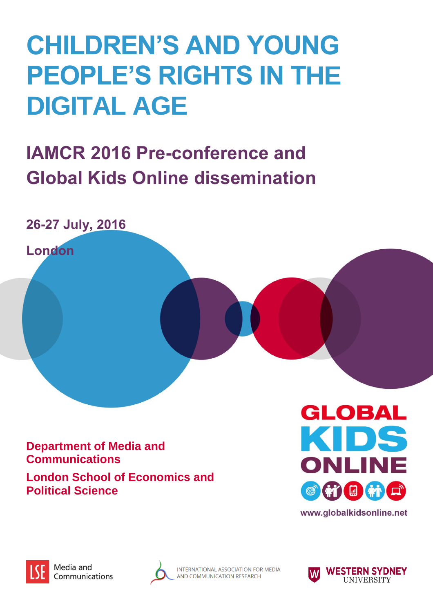## **CHILDREN'S AND YOUNG PEOPLE'S RIGHTS IN THE DIGITAL AGE**

## **IAMCR 2016 Pre-conference and Global Kids Online dissemination**



**Department of Media and Communications London School of Economics and Political Science** 





Media and Communications



INTERNATIONAL ASSOCIATION FOR MEDIA AND COMMUNICATION RESEARCH